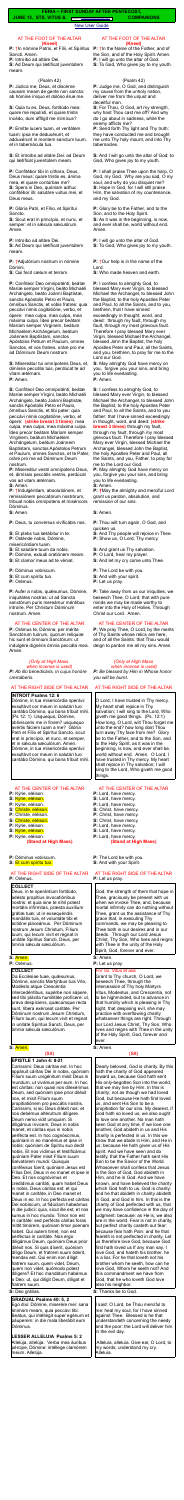#### [New User Guide](http://www.extraordinaryform.org/masses/NewUserGuide.pdf)

### AT THE FOOT OF THE ALTAR **(Kneel)**

**P:** †In nómine Patris, et Fílii, et Spíritus Sancti. Amen.

**P:** Introíbo ad altáre Dei.

**S:** Ad Deum qui lætíficat juventútem meam.

### (Psalm 42)

**P:** Júdica me, Deus, et discérne causam meam de gente non sancta: ab hómine iníquo et dolóso érue me.

**S:** Quia tu es, Deus, fortitúdo mea: quare me repulísti, et quare tristis incédo, dum afflígit me inimícus?

**P:** Emítte lucem tuam, et veritátem tuam: ipsa me deduxérunt, et adduxérunt in montem sanctum tuum, et in tabernácula tua.

**S:** Et introíbo ad altáre Dei: ad Deum qui lætíficat juventútem meam.

**P:** Confitébor tibi in cíthara, Deus, Deus meus: quare tristis es, ánima mea, et quare contúrbas me? **S:** Spera in Deo, quóniam adhuc confitébor illi: salutáre vultus mei, et Deus meus.

**P:** Glória Patri, et Fílio, et Spirítui Sancto.

**S:** Sicut erat in princípio, et nunc, et semper: et in sæcula sæculórum. Amen.

**P:** Introíbo ad altáre Dei. **S:** Ad Deum qui lætíficat juventútem meam.

**P:** †Adjutórium nostrum in nómine Dómini.

**S:** Qui fecit cælum et terram.

**P:** Confíteor Deo omnipoténti, beátæ Maríæ semper Vírgini, beáto Michaéli Archángelo, beáto Joánni Baptístæ, sanctis Apóstolis Petro et Paulo, ómnibus Sanctis, et vobis fratres: quia peccávi nimis cogitatióne, verbo, et ópere: mea culpa, mea culpa, mea máxima culpa. Ídeo precor beátam Maríam semper Vírginem, beátum Michaélem Archángelum, beátum Joánnem Baptístam, sanctos Apóstolos Petrum et Paulum, omnes Sanctos, et vos fratres, oráre pro me ad Dóminum Deum nostrum.

**P:** Aufer a nobis, quésumus, Dómine, iniquitátes nostras: ut ad Sancta sanctórum puris mereámur méntibus introíre. Per Christum Dóminum nostrum. Amen.

**S:** Misereátur tui omnípotens Deus, et, dimíssis peccátis tuis, perdúcat te ad vitam ætérnam. **P:** Amen.

**S:** Confíteor Deo omnipoténti, beátæ Maríæ semper Vírgini, beáto Michaéli Archángelo, beáto Joánni Baptistæ, sanctis Apóstolis Petro et Paulo, ómnibus Sanctis, et tibi pater: quia peccávi nimis cogitatióne, verbo, et ópere: **(strike breast 3 times)** mea culpa, mea culpa, mea máxima culpa. Ídeo precor beátam Maríam semper Vírginem, beátum Michaélem Archángelum, beátum Joánnem Baptístam, sanctos Apóstolos Petrum et Paulum, omnes Sanctos, et te Pater, oráre pro me ad Dóminum Deum nostrum.

**P:** Misereátur vestri omnípotens Deus, et, dimíssis peccátis vestris, perdúcat vos ad vitam ætérnam.

**S:** Amen.

**P:** †Indulgéntiam, absolutiónem, et remissiónem peccatórum nostrórum, tríbuat nobis omnípotens et miséricors Dóminus.

**S:** Amen.

**P:** Deus, tu convérsus vivificábis nos.

**S:** Et plebs tua lætábitur in te.

- **P:** Osténde nobis, Dómine,
- misericórdiam tuam.
- **S:** Et salutáre tuum da nobis.
- **P:** Dómine, exáudi oratiónem meam.
- **S:** Et clamor meus ad te véniat.
- **P:** Dóminus vobíscum.
- **S:** Et cum spíritu tuo.
- **P:** Orémus.

### AT THE CENTER OF THE ALTAR

**P:** Orámus te, Dómine, per mérita Sanctórum tuórum, quorum relíquiæ hic sunt et ómnium Sanctórum: ut indulgére dignéris ómnia peccáta mea. Amen.

## *(Only at High Mass when incense is used)*

*P: Ab illo benedicáris, in cujus honóre cremáberis.*

## AT THE RIGHT SIDE OF THE ALTAR

### **INTROIT Psalms 12: 6**

**P:**  $\dagger$ In the Name of the Father, and of the Son, and of the Holy Spirit. Amen. **P:** I will go unto the altar of God. **S:** To God, Who gives joy to my youth.

**P:** Thou wilt turn again, O God, and quicken us.

**S:** Deo grátias.

#### **GRADUAL Psalms 40: 5, 2**

Ego dixi: Dómine, miserére mei: sana ánimam meam, quia peccávi tibi. Beátus, qui intéllegit super egénum et páuperem: in die mala liberábit eum Dóminus.

**LESSER ALLELUIA Psalms 5: 2**  Allelúja, allelúja. Verba mea áuribus pércipe, Dómine: intéllege clamórem meum. Allelúja.

### AT THE FOOT OF THE ALTAR **(Kneel)**

### (Psalm 42)

**P:** Judge me, O God, and distinguish my cause from the unholy nation, deliver me from the unjust and deceitful man.

**S:** For Thou, O God, art my strength, why hast Thou cast me off? And why do I go about in sadness, while the enemy afflicts me?

**P:** Send forth Thy light and Thy truth: they have conducted me and brought me unto Thy holy mount, and into Thy tabernacles.

**S:** And I will go unto the altar of God: to God, Who gives joy to my youth.

**P:** I shall praise Thee upon the harp, O God, my God. Why are you sad, O my soul, and why do you disquiet me? **S:** Hope in God, for I will still praise Him, the salvation of my countenance, and my God.

**P:** Glory be to the Father, and to the Son, and to the Holy Spirit. **S:** As it was in the beginning, is now, and ever shall be, world without end. Amen.

**P:** I will go unto the altar of God. **S:** To God, Who gives joy to my youth.

**P:** †Our help is in the name of the Lord.

**S:** Who made heaven and earth.

**P:** I confess to almighty God, to blessed Mary ever Virgin, to blessed Michael the Archangel, to blessed John the Baptist, to the holy Apostles Peter and Paul, to all the Saints, and to you, brethren, that I have sinned exceedingly in thought, word, and deed: through my fault, through my fault, through my most grievous fault. Therefore I pray blessed Mary ever Virgin, blessed Michael the Archangel, blessed John the Baptist, the holy Apostles Peter and Paul, all the Saints, and you, brethren, to pray for me to the Lord our God.

Dómine, in tua misericórdia sperávi: exsultávit cor meum in salutári tuo: cantábo Dómino, qui bona tríbuit mihi. (Ps 12: 1) Usquequo, Dómine, oblivísceris me in finem? usquequo avértis fáciem tuam a me? Glória Patri et Fílio et Spirítui Sancto, sicut erat in princípio, et nunc, et semper, et in sæcula sæculórum. Amen. Dómine, in tua misericórdia sperávi: exsultávit cor meum in salutári tuo: cantábo Dómino, qui bona tríbuit mihi. AT THE CENTER OF THE ALTAR **P:** Kýrie, eléison. **S:** Kýrie, eléison. **P:** Kýrie, eléison. **S:** Christe, eléison. **P:** Christe, eléison. **S:** Christe, eléison. **P:** Kýrie, eléison. **S:** Kýrie, eléison. **P:** Kýrie, eléison. **(Stand at High Mass) P:** Dóminus vobíscum. **S:** Et cum spíritu tuo. AT THE RIGHT SIDE OF THE ALTAR **P:** Orémus. **COLLECT**  Deus, in te sperántium fortitúdo, adésto propîtius invocatiónibus nostris: et quia sine te nihil potest mortális infírmitas, præsta auxílium grátiæ tuæ; ut in exsequéndis mandátis tuis, et voluntáte tibi et actióne placeámus. Per Dóminum nostrum Jesum Christum, Fílium tuum, qui tecum vivit et regnat in unitáte Spíritus Sancti, Deus, per ómnia sæcula sæculórum. **S:** Amen. **P:** Orémus. **COLLECT**  Da Ecclésiae tuae, quésumus, Dómine, sanctis Martýribus tuis Vito, Modésto atque Crescéntia intercedéntibus, supérbe non sápere, sed tibi plácita humilitáte profícere: ut, prava despíciens, quæcúmque recta sunt, líbera exérceat caritáte. Per Dóminum nostrum Jesum Christum, Fílium tuum, qui tecum vivit et regnat in unitáte Spíritus Sancti, Deus, per ómnia sæcula sæculórum. **S:** Amen. **(Sit) EPISTLE 1 John 4: 8-21**  Caríssimi: Deus cáritas est. In hoc appáruit cáritas Dei in nobis, quóniam Fílium suum unigénitum misit Deus in mundum, ut vivámus per eum. In hoc est cáritas: non quasi nos dilexérimus Deum, sed quóniam ipse prior diléxit nos, et misit Fílium suum propitiatiónem pro peccátis nostris. Caríssimi, si sic Deus diléxit nos: et nos debémus altérutrum dilígere. Deum nemo vidit umquam. Si diligámus ínvicem, Deus in nobis manet, et cáritas ejus in nobis perfécta est. In hoc cognóscimus, quóniam in eo manémus et ipse in nobis: quóniam de Spíritu suo dedit nobis. Et nos vídimus et testificámur, quóniam Pater misit Fílium suum Salvatórem mundi. Quisquis conféssus fúerit, quóniam Jesus est Fílius Dei, Deus in eo manet et ipse in Deo. Et nos cognóvimus et credídimus caritáti, quam habet Deus in nobis. Deus cáritas est: et qui manet in caritáte, in Deo manet et Deus in eo. In hoc perfécta est cáritas Dei nobíscum, ut fidúciam habeámus in die judicii: quia, sicut ille est, et nos sumus in hoc mundo. Timor non est in caritáte: sed perfécta cáritas foras mittit timórem, quóniam timor poenam habet. Qui autem timet, non est perféctus in caritáte. Nos ergo diligámus Deum, quóniam Deus prior diléxit nos. Si quis díxerit, quóniam díligo Deum, et fratrem suum óderit, mendax est. Qui enim non díligit fratrem suum, quem videt, Deum, quem non videt, quómodo potest dilígere? Et hoc mandátum habémus a Deo: ut, qui diligit Deum, díligat et fratrem suum. O Lord, I have trusted in Thy mercy. My heart shall rejoice in Thy salvation; I will sing to the Lord, Who giveth me good things. (Ps. 12:1) How long, O Lord, wilt Thou forget me unto the end? how long dost Thou turn away Thy face from me? Glory be to the Father, and to the Son, and to the Holy Spirit, as it was in the beginning, is now, and ever shall be, world without end. Amen. O Lord, I have trusted in Thy mercy. My heart shall rejoice in Thy salvation; I will sing to the Lord, Who giveth me good things. AT THE CENTER OF THE ALTAR **P:** Lord, have mercy. **S:** Lord, have mercy. **P:** Lord, have mercy. **S:** Christ, have mercy. **P:** Christ, have mercy. **S:** Christ, have mercy. **P:** Lord, have mercy. **S:** Lord, have mercy. **P:** Lord, have mercy. **(Stand at High Mass) P:** The Lord be with you. **S:** And with your Spirit. AT THE RIGHT SIDE OF THE ALTAR **P:** Let us pray. God, the strength of them that hope in Thee, graciously be present with us when we invoke Thee, and, because mortal infirmity can do nothing without Thee, grant us the assistance of Thy grace that, in executing Thy commands, we may be pleasing to Thee both in our desires and in our deeds. Through our Lord Jesus Christ, Thy Son, Who lives and reigns with Thee in the unity of the Holy Spirit, God, forever and ever. **S:** Amen. **P:** Let us pray. *For Ss. Vitus et alia* Grant to Thy church, O Lord, we beseech Thee, through the intercession of Thy holy Martyrs Vitus, Modestus, and Crescentia, not to be highminded, but to advance in that humility which is pleasing in Thy sight, that despising evil, she may practice with overflowing charity whatsoever things are right. Through our Lord Jesus Christ, Thy Son, Who lives and reigns with Thee in the unity of the Holy Spirit, God, forever and ever. **S:** Amen. **(Sit)** Dearly beloved, God is charity. By this hath the charity of God appeared toward us, because God hath sent His only-begotten Son into the world, that we may live by Him. In this is charity; not as though we had loved God, but because He hath first loved us, and sent His Son to be a propitiation for our sins. My dearest, if God hath so loved us, we also ought to love one another. No man hath seen God at any time. If we love one another, God abideth in us and His charity is perfected in us. In this we know that we abide in Him, and He in us; because He hath given us of His spirit. And we have seen and do testify, that the Father hath sent His Son to be the Savior of the World. Whosoever shall confess that Jesus is the Son of God, God abideth in Him, and he in God. And we have known, and have believed the charity which God hath to us. God is charity: and he that abideth in charity abideth in God, and God in him. In this is the charity of God perfected with us, that we may have confidence in the day of judgment: because: as He is, we also are in the world. Fear is not in charity, but perfect charity casteth out fear: because fear hath Pain: and he that feareth is not perfected in charity. Let us therefore love God, because God first hath loved us If any man say, I love God, and hateth his brother, he is a liar. For he that loveth not his brother whom he seeth, how can he love God, Whom he seeth not? And this commandment we have from God, that he who loveth God love also his neighbor.

**S:** May almighty God have mercy on you, forgive you your sins, and bring you to life everlasting. **P:** Amen.

**S:** I confess to almighty God, to blessed Mary ever Virgin, to blessed Michael the Archangel, to blessed John the Baptist, to the holy Apostles Peter and Paul, to all the Saints, and to you father: that I have sinned exceedingly in thought, word, and deed: **(strike breast 3 times)** through my fault, through my fault, through my most grievous fault. Therefore I pray blessed Mary ever Virgin, blessed Michael the Archangel, blessed John the Baptist, the holy Apostles Peter and Paul, all the Saints, and you, Father, to pray for me to the Lord our God.

**P:** May almighty God have mercy on you, forgive you your sins, and bring you to life everlasting.

**S:** Amen.

**P: †**May the almighty and merciful Lord grant us pardon, absolution, and remission of our sins.

**S:** Amen.

- **S:** And Thy people will rejoice in Thee.
- **P:** Show us, O Lord, Thy mercy.
- **S:** And grant us Thy salvation.
- **P:** O Lord, hear my prayer.
- **S:** And let my cry come unto Thee.
- **P:** The Lord be with you.
- **S:** And with your spirit.
- **P:** Let us pray.

**P:** Take away from us our iniquities, we beseech Thee, O Lord; that with pure minds we may be made worthy to enter into the Holy of Holies. Through Christ our Lord. Amen.

### AT THE CENTER OF THE ALTAR

**P:** We pray Thee, O Lord, by the merits of Thy Saints whose relics are here, and of all the Saints: that Thou would deign to pardon me all my sins. Amen.

#### *(Only at High Mass when incense is used)*

*P: Be blessed by Him in Whose honor you will be burnt.*

## AT THE RIGHT SIDE OF THE ALTAR

**S:** Thanks be to God.

I said: O Lord, be Thou merciful to me: heal my soul, for I have sinned against Thee. Blessed is he that understandeth concerning the needy and the poor: the Lord will deliver him in the evil day.

 Alleluia, alleluia. Give ear, O Lord, to my words; understand my cry. Alleluia.

**JUNE 15, STS. VITUS &** Errors? [help@extraordinaryform.org](mailto:help@extraordinaryform.org) **COMPANIONS**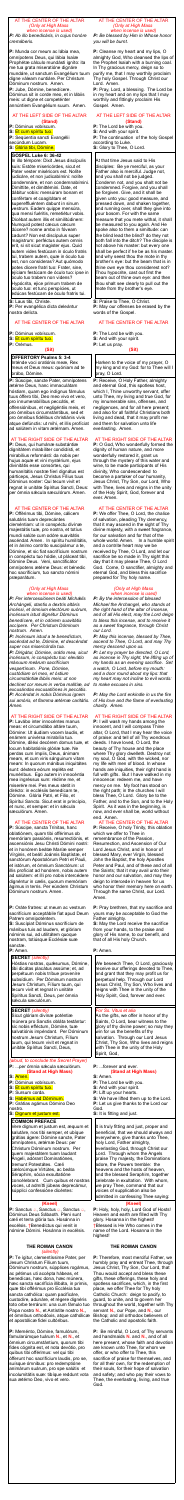## AT THE CENTER OF THE ALTAR *(Only at High Mass when incense is used)*

*P: Ab illo benedicáris, in cujus honóre cremáberis.*

**P:** Munda cor meum ac lábia mea, omnípotens Deus, qui lábia Isaíæ Prophétæ cálculo mundásti igníto: ita me tua grata miseratióne dignáre mundáre, ut sanctum Evangélium tuum digne váleam nuntiáre. Per Christum Dóminum nostrum. Amen. **P:** Jube, Dómine, benedícere. Dóminus sit in corde meo, et in lábiis meis: ut digne et competénter annúntiem Evangélium suum. Amen.

#### AT THE LEFT SIDE OF THE ALTAR **(Stand)**

**P:** Dóminus vobíscum. **S:** Et cum spíritu tuo. **P:** Seqúentia sancti Evangélii secúndum Lucam. **S:** Glória tibi, Dómine.

### **GOSPEL Luke 6: 36-42**

In illo témpore: Dixit Jesus discípulis suis: Estóte misericórdes, sicut et Pater vester miséricors est. Nolíte judicáre, et non judicabímini: nolíte condemnáre, et non condemnabímini. Dimíttite, et dimittémini. Date, et dábitur vobis: mensúram bonam et confértam et coagitátam et supereffluéntem dabunt in sinum vestrum. Eadem quippe mensúra, qua mensi fuéritis, remetiétur vobis. Dicébat autem illis et similitúdinem: Numquid potest cæcus cæcum dúcere? nonne ambo in fóveam cadunt? Non est discípulus super magistrum: perféctus autem omnis erit, si sit sicut magister ejus. Quid autem vides festúcam in óculo fratris tui, trabem autem, quæ in óculo tuo est, non consíderas? Aut quómodo potes dícere fratri tuo: Frater, sine, ejíciam festúcam de óculo tuo: ipse in oculo tuo trabem non videns? Hypócrita, ejice primum trabem de oculo tuo: et tunc perspícies, ut edúcas festúcam de óculo fratris tui.

**S:** Laus tibi, Christe. **P:** Per evangélica dicta deleántur nostra delícta.

## AT THE CENTER OF THE ALTAR

**P:** Dóminus vobíscum.

- **S:** Et cum spíritu tuo.
- **P:** Orémus.

# **(Sit)**

**OFFERTORY Psalms 5: 3-4** Inténde voci oratiónis meæ, Rex meus et Deus meus: quóniam ad te orábo, Dómine.

**P:** Súscipe, sancte Pater, omnípotens ætérne Deus, hanc immaculátam hóstiam, quam ego indígnus fámulus tuus óffero tibi, Deo meo vivo et vero, pro innumerabílibus peccátis, et offensiónibus, et negligéntiis meis, et pro ómnibus circumstántibus, sed et pro ómnibus fidélibus christiánis vivis atque defúnctis: ut mihi, et illis profíciat ad salútem in vitam ætérnam. Amen.

## AT THE RIGHT SIDE OF THE ALTAR

**P:** Deus, qui humánæ substántiæ dignitátem mirabíliter condidísti, et mirabílius reformásti: da nobis per hujus aquæ et vini mystérium, ejus divinitátis esse consórtes, qui humanitátis nostræ fíeri dignátus est párticeps, Jesus Christus Fílius tuus Dóminus noster: Qui tecum vivit et regnat in unitáte Spíritus Sancti, Deus: per ómnia sǽcula sæculórum. Amen.

## AT THE CENTER OF THE ALTAR

**P:** Offérimus tibi, Dómine, cálicem salutáris tuam deprecántes cleméntiam: ut in conspéctu divínæ majestátis tuæ, pro nostra, et totíus mundi salúte cum odóre suavitátis ascéndat. Amen. In spíritu humilitátis, et in ánimo contríto suscipiámur a te, Dómine, et sic fiat sacrifícium nostrum in conspéctu tuo hódie, ut pláceat tibi, Dómine Deus. Veni, sanctificátor omnípotens ætérne Deus: et bénedic hoc sacrifícium, tuo sancto nómini præparátum.

*(aloud, to conclude the Secret Prayer)* P: ...per ómnia sæcula sæculórum.

#### *(Only at High Mass when incense is used)*

*P: Per intercessiónem beáti Michǽlis Archángeli, stantis a dextris altáris incénsi, et ómnium electórum suórum, incénsum istud dignétur Dóminus benedícere, et in odórem suavitátis accípere. Per Christum Dóminum nostrum. Amen.*

**P:** Sanctus *a*, Sanctus *a*, Sanctus *a*, Dóminus Deus Sábaoth. Pleni sunt cæli et terra glória tua. Hosánna in excélsis. †Benedíctus qui venit in nómine Dómini. Hosánna in excélsis.

*P: Incénsum istud a te benedíctum, ascéndat ad te, Dómine, et descéndat super nos misericórdia tua. P: Dirigátur, Dómine, orátio mea, sicut incénsum, in conspéctu tuo: elev*á*tio m*á*nuum me*á*rum sacrifícium vespertínum. Pone, Dómine, custódiam ori meo, et óstium circumstántiæ l*á*biis meis: ut non declínet cor meum in verba malítiæ, ad excusándas excusatiónes in peccátis. P: Accéndat in nobis Dóminus ignem sui amóris, et flamma ætérnæ caritátis. Amen.*

# AT THE RIGHT SIDE OF THE ALTAR

**P:** Lavábo inter innocéntes manus meas: et circumdábo altáre tuum, Dómine: Ut áudiam vocem laudis, et enárrem univérsa mirabília tua. Dómine, diléxi decórem domus tuæ, et locum habitatiónis glóriæ tuæ. Ne perdas cum ímpiis, Deus, ánimam meam, et cum viris sánguinum vitam meam: In quorum mánibus iniquitátes sunt: déxtera eórum repléta est munéribus. Ego autem in innocéntia mea ingréssus sum: rédime me, et miserére mei. Pes meus stetit in dirécto: in ecclésiis benedícam te, Dómine. Glória Patri, et Filio, et Spirítui Sancto. Sicut erat in princípio, et nunc, et semper: et in sécula sæculórum. Amen.

## AT THE CENTER OF THE ALTAR

**P:** Súscipe, sancta Trínitas, hanc oblatiónem, quam tibi offérimus ob memóriam passiónis, resurrectiónis, et ascensiónis Jesu Christi Dómini nostri: et in honórem beátæ Maríæ semper Vírginis, et beáti Joánnis Baptístæ, et sanctórum Apostolórum Petri et Pauli, et istórum, et ómnium Sanctórum: ut illis profíciat ad honórem, nobis autem ad salútem: et illi pro nobis intercédere dignéntur in cælis, quorum memóriam ágimus in terris. Per eúndem Christum Dóminum nostrum. Amen.

**P:** Receive, O Holy Father, almighty and eternal God, this spotless host, which I, Thine unworthy servant, offer unto Thee, my living and true God, for my innumerable sins, offenses, and negligences, and for all here present; and also for all faithful Christians both living and dead, that it may profit me and them for salvation unto life everlasting. Amen.

**P:** Oráte fratres: ut meum ac vestrum sacrifícium acceptábile fiat apud Deum Patrem omnipoténtem.

**S:** Suscípiat Dóminus sacrifícium de mánibus tuis ad laudem, et glóriam nóminis sui, ad utilitátem quoque nostram, totiúsque Ecclésiæ suæ sanctæ. **P:** Amen.

# **SECRET** *(silently)*

Hóstias nostras, quésumus, Dómine, tibi dicátas placátus assúme; et, ad perpétuum nobis tríbue proveníre subsídium. Per Dóminum nostrum Jesum Christum, Fílium tuum, qui tecum vivit et regnat in unitáte Spíritus Sancti, Deus, per ómnia sæcula sæculórum.

### **SECRET** *(silently)*

Sicut glóriam divínæ poténtiæ múnera pro Sanctis obláta testántur: sic nobis efféctum, Dómine, tuæ salvatiónis impéndant. Per Dóminum nostrum Jesum Christum, Fílium tuum, qui tecum vivit et regnat in unitáte Spíritus Sancti, Deus,

## **(Stand at High Mass)**

- **S:** Amen.
- **P:** Dóminus vobíscum.
- **S:** Et cum spíritu tuo.
- **P:** Sursum corda.
- **S:** Habémus ad Dóminum.
- **P:** Grátias agámus Dómino Deo nostro.

## **S:** Dignum et justum est.

## **COMMON PREFACE**

Vere dignum et justum est, æquum et salutáre, nos tibi semper, et ubíque grátias ágere: Dómine sancte, Pater omnípotens, ætérnæ Deus: per Christum Dóminum nostrum. Per quem majestátem tuam laudant Ángeli, adórant Dominatiónes, tremunt Potestátes. Cæli cælorúmque Virtútes, ac beáta Séraphim, sócia exsultatióne concélebrant. Cum quibus et nostras voces, ut admítti júbeas deprecámur, súpplici confessióne dicéntes:

**P:** Pray brethren, that my sacrifice and yours may be acceptable to God the Father almighty.

#### **(Kneel)**

# **THE ROMAN CANON**

*(silently)*

**P:** Te ígitur, clementíssime Pater, per Jesum Christum Fílium tuum, Dóminum nostrum, súpplices rogámus, ac pétimus uti accépta hábeas, et benedícas, hæc dona, hæc múnera, hæc sancta sacrifícia illibáta, in primis, quæ tibi offérimus pro Ecclésia tua sancta cathólica: quam pacificáre, custodíre, adunáre, et régere dignéris toto orbe terrárum: una cum fámulo tuo Papa nostro **N.**, et Antístite nostro **N.,** et ómnibus orthodóxis, atque cathólicæ et apostólicæ fidei cultóribus.

**P:** Meménto, Dómine, famulórum, famularúmque tuárum **N.**, et **N.**, et ómnium circumstántium, quorum tibi fides cógnita est, et nota devótio, pro quibus tibi offérimus: vel qui tibi ófferunt hoc sacrifícium laudis, pro se, suísque ómnibus: pro redemptióne animárum suárum, pro spe salútis et incolumitátis suæ: tibíque reddunt vota sua ætérno Deo, vivo et vero.

### AT THE CENTER OF THE ALTAR *(Only at High Mass when incense is used)*

*P: Be blessed by Him in Whose honor you will be burnt.*

**P:** Cleanse my heart and my lips, O almighty God, Who cleansed the lips of the Prophet Isaiah with a burning coal. In Thy gracious mercy, deign so to purify me, that I may worthily proclaim Thy holy Gospel. Through Christ our Lord. Amen.

**P:** Pray, Lord, a blessing. The Lord be in my heart and on my lips that I may worthily and fittingly proclaim His Gospel. Amen.

### AT THE LEFT SIDE OF THE ALTAR **(Stand)**

**P:** The Lord be with you. **S:** And with your spirit. **P:** The continuation of the holy Gospel according to Luke. **S:** Glory to Thee, O Lord.

At that time Jesus said to His disciples: Be ye merciful, as your Father also is merciful. Judge not, and you shall not be judged. Condemn not, and you shalt not be condemned. Forgive, and you shall be forgiven. Give, and it shall be given unto you: good measure, and pressed down, and shaken together, and running over, shall they give into your bosom. For with the same measure that you mete withal, it shall be measured to you again. And He spoke also to them a similtude: can the blind lead the blind? do they not both fall into the ditch? The disciple is not above his master: but every one shall be perfect if he be as his master. and why seest thou the mote in thy brother's eye: but the beam that is in thine own eye thou considerest not? Thou hypocrite, cast out first the beam out of thine own eye: and then thou shalt see clearly to pull out the mote from thy brother's eye.

**S:** Praise to Thee, O Christ. **P:** May our offenses be erased by the words of the Gospel.

## AT THE CENTER OF THE ALTAR

**P:** The Lord be with you.

- **S:** And with your spirit. **P:** Let us pray.
	-

### **(Sit)**

Harken to the voice of my prayer, O my king and my God: for to Thee will I pray, O Lord.

# AT THE RIGHT SIDE OF THE ALTAR

**P:** O God, Who wonderfully formed the dignity of human nature, and more wonderfully restored it, grant us through the mystery of this water and wine, to be made participants of His divinity, Who condescended to become a partaker of our humanity, Jesus Christ, Thy Son, our Lord, Who with Thee, lives and reigns in the unity of the Holy Spirit, God, forever and ever. Amen.

# AT THE CENTER OF THE ALTAR

**P:** We offer Thee, O Lord, the chalice of salvation, pleading Thy clemency, that it may ascend in the sight of Thy divine majesty, with a sweet fragrance, for our salvation and for that of the whole world. Amen. In a humble spirit and a contrite heart may we be received by Thee, O Lord, and let our sacrifice be so made in Thy sight this day that it may please Thee, O Lord God. Come, O sanctifier, almighty and eternal God, and bless this sacrifice prepared for Thy holy name.

## *(Only at High Mass when incense is used)*

*P: By the intercession of blessed Michael the Archangel, who stands at the right hand of the altar of incense, and of all His elect, may the Lord deign to bless this incense, and to receive it as a sweet fragrance, through Christ our Lord.*

*P: May this incense, blessed by Thee, ascend to Thee, O Lord, and may Thy mercy descend upon us.*

*P: Let my prayer be directed, O Lord, as incense in Thy sight, the lifting up of my hands as an evening sacrifice. Set a watch, O Lord, before my mouth: and a door round about my lips: that my heart may not incline to evil words: to make excuses in sins.*

*P: May the Lord enkindle in us the fire of His love and the flame of everlasting charity. Amen.*

## AT THE RIGHT SIDE OF THE ALTAR

**P:** I will wash my hands among the innocent, and I will compass Thine altar, O Lord, that I may hear the voice of praise: and tell of all Thy wondrous deeds. I have loved, O Lord, the beauty of Thy house and the place where Thy glory dwelleth. Destroy not my soul, O God, with the wicked, nor my life with men of blood. In whose hands are iniquities, their right hand is full with gifts. But I have walked in my innocence: redeem me, and have mercy on me. My foot has stood on the right path; in the churches I will bless Thee, O Lord. Glory be to the Father, and to the Son, and to the Holy Spirit. As it was in the beginning, is now, and ever shall be, world without end. Amen. AT THE CENTER OF THE ALTAR **P:** Receive, O holy Trinity, this oblation which we offer to Thee in remembrance of the Passion, Resurrection, and Ascension of Our Lord Jesus Christ, and in honor of blessed Mary, ever Virgin, blessed John the Baptist, the holy Apostles Peter and Paul, and of these and of all the Saints; that it may avail unto their honor and our salvation, and may they deign to intercede in heaven for us who honor their memory here on earth. Through the same Christ, our Lord. Amen.

**S:** May the Lord receive the sacrifice from your hands, to the praise and glory of His name, to our benefit, and that of all His holy Church.

**P:** Amen.

We beseech Thee, O Lord, graciously receive our offerings devoted to Thee, and grant that they may profit us for perpetual help. Through our Lord Jesus Christ, Thy Son, Who lives and reigns with Thee in the unity of the Holy Spirit, God, forever and ever.

### *For Ss. Vitus et alia*

As the gifts, we offer in honor of thy Saints, O Lord, bear witness to the glory of thy divine power; so may they win for us the benefits of thy salvation. Through our Lord Jesus Christ, Thy Son, Who lives and reigns with Thee in the unity of the Holy Spirit, God,

## **P:** ...forever and ever. **(Stand at High Mass)**

- **S:** Amen.
- **P:** The Lord be with you.
- **S:** And with your spirit.
- **P:** Lift up your hearts.
- **S:** We have lifted them up to the Lord.
- **P:** Let us give thanks to the Lord our God.
- **S:** It is fitting and just.

It is truly fitting and just, proper and beneficial, that we should always and everywhere, give thanks unto Thee, holy Lord, Father almighty, everlasting God, through Christ our Lord. Through whom the Angels praise Thy majesty, the Dominations adore, the Powers tremble: the heavens and the hosts of heaven, and the blessed Seraphim, together celebrate in exultation. With whom, we pray Thee, command that our voices of supplication also be admitted in confessing Thee saying:

#### **(Kneel)**

**P:** Holy, holy, holy, Lord God of Hosts! Heaven and earth are filled with Thy glory. Hosanna in the highest! †Blessed is He Who comes in the name of the Lord. Hosanna in the highest!

#### **THE ROMAN CANON**

**P:** Therefore, most merciful Father, we humbly pray and entreat Thee, through Jesus Christ, Thy Son, Our Lord, that Thou would accept and bless these gifts, these offerings, these holy and spotless sacrifices, which, in the first place, we offer Thee for Thy holy Catholic Church: deign to pacify, to guard, to unite, and to govern her throughout the world, together with Thy servant **N.**, our Pope, and **N.**, our Bishop; and all orthodox believers of the Catholic and apostolic faith.

**P:** Be mindful, O Lord, of Thy servants and handmaids **N.** and **N.**, and of all here present, whose faith and devotion are known unto Thee, for whom we offer, or who offer to Thee, this sacrifice of praise for themselves, and for all their own, for the redemption of their souls, for their hope of salvation and safety; and who pay their vows to Thee, the everlasting, living, and true God.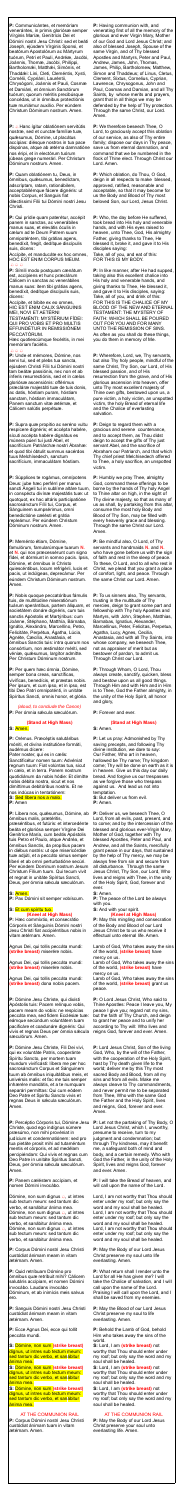**P:** Communicántes, et memóriam venerántes, in primis gloriósæ semper Vírginis Maríæ, Genitrícis Dei et Dómini nostri Jesu Christi: sed et beáti Joseph, ejúsdem Vírginis Sponsi, et beatórum Apostolórum ac Mártyrum tuórum, Petri et Pauli, Andréæ, Jacóbi, Joánnis, Thomæ, Jacóbi, Philíppi, Bartholomǽi, Matthǽi, Simónis, et Thaddǽi: Lini, Cleti, Cleméntis, Xysti, Cornélii, Cypriáni, Lauréntii, Chrysógoni, Joánnis et Pauli, Cosmæ et Damiáni, et ómnium Sanctórum tuórum; quorum méritis precibúsque concédas, ut in ómnibus protectiónis tuæ muniámur auxílio. Per eúndem Christum Dóminum nostrum. Amen.

**P:**  $\triangle$  Hanc ígitur oblatiónem servitútis nostræ, sed et cunctæ famíliæ tuæ, quǽsumus, Dómine, ut placátus accípias: diésque nostros in tua pace dispónas, atque ab ætérna damnatióne nos éripi, et in electórum tuórum júbeas grege numerári. Per Christum Dóminum nostrum. Amen.

Accípite, et manducáte ex hoc omnes, HOC EST ENIM CORPUS MEUM.  $A A A$ 

**P:** Quam oblatiónem tu, Deus, in ómnibus, quǽsumus, benedíctam, adscríptam, ratam, rationábilem, acceptabilémque fácere dignéris: ut nobis Corpus, et Sanguis fiat dilectíssimi Fílii tui Dómini nostri Jesu Christi.

**P:** Qui prídie quam paterétur, accépit panem in sanctas, ac venerábiles manus suas, et elevátis óculis in cælum ad te Deum Patrem suum omnipoténtem, tibi grátias agens, benedíxit, fregit, dedítque discípulis suis, dicens:

**P:** Símili modo postquam cænátum est, accípiens et hunc præclárum Cálicem in sanctas ac venerábiles manus suas: item tibi grátias agens, benedíxit, dedítque discípulis suis, dicens:

Accípite, et bíbite ex eo omnes, HIC EST ENIM CALIX SÁNGUINIS MEI, NOVI ET AETÉRNI

TESTAMÉNTI: MYSTÉRIUM FÍDEI: QUI PRO VOBIS ET PRO MULTIS EFFUNDÉTUR IN REMISSIÓNEM PECCATÓRUM.

Hæc quotiescúmque fecéritis, in mei memóriam faciétis.

### $\bigcirc$

*(aloud, to conclude the Canon)* **P:** Per ómnia sæcula sæculórum.

**P:** Unde et mémores, Dómine, nos servi tui, sed et plebs tua sancta, ejúsdem Christi Fílii tui Dómini nostri tam beátæ passiónis, nec non et ab ínferis resurrectiónis, sed et in cælos gloriósæ ascensiónis: offérimus præcláræ majestáti tuæ de tuis donis, ac datis, hóstiam puram, hóstiam sanctam, hóstiam immaculátam, Panem sanctum vitæ ætérnæ, et Cálicem salútis perpétuæ.

P: Líbera nos, quésumus, Dómine, ab ómnibus malis, prætéritis,

**P:** Supra quæ propítio ac seréno vultu respícere dignéris; et accépta habére, sícuti accépta habére dignátus es múnera púeri tui justi Abel, et sacrifícium Patriárchæ nostri Ábrahæ: et quod tibi óbtulit summus sacérdos tuus Melchísedech, sanctum sacrifícium, immaculátam hóstiam.

**P:** Súpplices te rogámus, omnípotens Deus: jube hæc perférri per manus sancti Ángeli tui in sublíme altáre tuum, in conspéctu divínæ majestátis tuæ: ut quotquot, ex hac altáris participatióne sacrosánctum Fílii tui, Corpus, et Sánguinem sumpsérimus, omni benedictióne cælésti et grátia repleámur. Per eúndem Christum Dóminum nostrum. Amen.

**P:** Meménto étiam, Dómine, famulórum, famularúmque tuarum **N.** et **N.** qui nos præcessérunt cum signo fídei, et dórmiunt in somno pacis. Ipsis, Dómine, et ómnibus in Christo quiescéntibus, locum refrigérii, lucis et pacis, ut indúlgeas, deprecámur. Per eúndem Christum Dóminum nostrum. Amen.

Dómine, non sum dignus  $\triangle$ , ut intres sub tectum meum: sed tantum dic verbo, et sanábitur ánima mea. Dómine, non sum dignus  $\triangle$ , ut intres sub tectum meum: sed tantum dic verbo, et sanábitur ánima mea. Dómine, non sum dignus  $\triangle$ , ut intres sub tectum meum: sed tantum dic verbo, et sanábitur ánima mea.

**P:** Nobis quoque peccatóribus fámulis tuis, de multitúdine miseratiónum tuárum sperántibus, partem áliquam, et societátem donáre dignéris, cum tuis sanctis Apóstolis et Martýribus: cum Joánne, Stéphano, Matthía, Bárnaba, Ignátio, Alexándro, Marcellíno, Petro, Felicitáte, Perpétua, Ágatha, Lúcia, Agnéte, Cæcília, Anastásia, et ómnibus Sanctis tuis: intra quorum nos consórtium, non æstimátor mériti, sed véniæ, quæsumus, largítor admítte. Per Christum Dóminum nostrum.

**P:** Per quem hæc ómnia, Dómine, semper bona creas, sanctíficas, vivíficas, benedícis, et præstas nobis. Per ipsum, et cum ipso, et in ipso, est tibi Deo Patri omnipoténti, in unitáte Spíritus Sancti, omnis honor, et glória.

### **(Stand at High Mass) S:** Amen.

**P:** Orémus. Præcéptis salutáribus móniti, et divína institutióne formáti, audémus dícere: Pater noster, qui es in cælis: Sanctificétur nomen tuum: Advéniat regnum tuum: Fiat volúntas tua, sicut in cælo, et in terra. Panem nostrum quotidiánum da nobis hódie: Et dimítte

nobis débita nostra, sicut et nos dimíttimus debitóribus nostris. Et ne nos indúcas in tentatiónem:

**S:** Sed líbera nos a malo.

**P:** Amen

præséntibus, et futúris: et intercedénte beáta et gloriósa semper Vírgine Dei Genitríce María, cum beátis Apóstolis tuis Petro et Paulo, atque Andréa, et ómnibus Sanctis, da propítius pacem in diébus nostris: ut ope misericórdiæ tuæ adjúti, et a peccáto simus semper líberi et ab omni perturbatióne secúri. Per eúndem Dominum nostrum Jesum Christum Fílium tuum. Qui tecum vivit et regnat in unitáte Spíritus Sancti, Deus, per ómnia sǽcula sæculórum.

### **S:** Amen.

**P:** Pax Dómini sit semper vobíscum.

## **S:** Et cum spíritu tuo. **(Kneel at High Mass)**

**P:** Hæc commíxtio, et consecrátio Córporis et Sánguinis Dómini nostri Jesu Christi fiat accipiéntibus nobis in vitam ætérnam. Amen.

Agnus Dei, qui tollis peccáta mundi: **(strike breast)** miserére nobis.

Agnus Dei, qui tollis peccáta mundi: **(strike breast)** miserére nobis.

Agnus Dei, qui tollis peccáta mundi: **(strike breast)** dona nobis pacem.

**P:** Dómine Jesu Christe, qui dixísti Apóstolis tuis: Pacem relínquo vobis, pacem meam do vobis: ne respícias peccáta mea, sed fidem Ecclésiæ tuæ: eámque secúndum voluntátem tuam pacificáre et coadunáre dignéris: Qui vivis et regnas Deus per ómnia sæcula sæculórum. Amen.

**P:** Dómine Jesu Christe, Fili Dei vivi, qui ex voluntáte Patris, cooperánte Spíritu Sancto, per mortem tuam mundum vivificásti: líbera me per hoc sacrosánctum Corpus et Sánguinem tuum ab ómnibus iniquitátibus meis, et univérsis malis: et fac me tuis semper inhærére mandátis, et a te numquam separári permíttas: Qui cum eódem Deo Patre et Spiritu Sancto vivis et regnas Deus in sǽcula sæculórum. Amen.

**P:** Percéptio Córporis tui, Dómine Jesu

Christe, quod ego indígnus súmere præsúmo, non mihi provéniat in judícium et condemnatiónem: sed pro tua pietáte prosit mihi ad tutaméntum mentis et córporis, et ad medélam percipiéndam: Qui vivis et regnas cum Deo Patre in unitáte Spíritus Sancti, Deus, per ómnia sæcula sæculórum. Amen.

**P:** Panem cæléstem accípiam, et nomen Dómini invocábo.

**P:** Corpus Dómini nostri Jesu Christi custódiat ánimam meam in vitam ætérnam. Amen.

**P:** Quid retríbuam Dómino pro ómnibus quæ retríbuit mihi? Cálicem salutáris accípiam, et nomen Dómini invocábo. Laudans invocábo Dóminum, et ab inimícis meis salvus ero.

**P:** Sanguis Dómini nostri Jesu Christi custódiat ánimam meam in vitam ætérnam. Amen.

**P:** Ecce Agnus Dei, ecce qui tollit peccáta mundi.

**S:** Dómine, non sum **(strike breast)** dignus, ut intres sub tectum meum: sed tantum dic verbo, et sanábitur ánima mea.

**S:** Dómine, non sum **(strike breast)**  dignus, ut intres sub tectum meum: sed tantum dic verbo, et sanábitur ánima mea.

**S:** Dómine, non sum **(strike breast)**  dignus, ut intres sub tectum meum: sed tantum dic verbo, et sanábitur ánima mea.

#### AT THE COMMUNION RAIL

**P:** Corpus Dómini nostri Jesu Christi custódiat ánimam tuam in vitam ætérnam. Amen.

**P:** Having communion with, and venerating first of all the memory of the glorious and ever Virgin Mary, Mother of our God and Lord Jesus Christ; and also of blessed Joseph, Spouse of the same Virgin, and of Thy blessed Apostles and Martyrs, Peter and Paul, Andrew, James, John, Thomas, James, Philip, Bartholomew, Matthew, Simon and Thaddeus; of Linus, Cletus, Clement, Sixtus, Cornelius, Cyprian, Lawrence, Chrysogonus, John and Paul, Cosmas and Damian, and all Thy Saints, by whose merits and prayers, grant that in all things we may be defended by the help of Thy protection. Through the same Christ, our Lord. Amen.

**P:** We therefore beseech Thee, O Lord, to graciously accept this oblation of our service, as also of Thy entire family; dispose our days in Thy peace, save us from eternal damnation, and command that we be numbered in the flock of Thine elect. Through Christ our Lord. Amen.

**P:** Which oblation, do Thou, O God, deign in all respects to make blessed, approved, ratified, reasonable and acceptable, so that it may become for us the Body and Blood of Thy most beloved Son, our Lord, Jesus Christ.

**P:** Who, the day before He suffered, took bread into His holy and venerable hands, and with His eyes raised to heaven, unto Thee, God, His almighty Father, giving thanks to Thee, He blessed it, broke it, and gave it to His disciples saying:

Take, all of you, and eat of this: FOR THIS IS MY BODY.

**P:** In like manner, after He had supped, taking also this excellent chalice into His holy and venerable hands, and giving thanks to Thee, He blessed it, and gave it to His disciples, saying: Take, all of you, and drink of this: FOR THIS IS THE CHALICE OF MY BLOOD OF THE NEW AND ETERNAL TESTAMENT: THE MYSTERY OF FAITH: WHICH SHALL BE POURED OUT FOR YOU AND FOR MANY UNTO THE REMISSION OF SINS. As often as you shall do these things, you do them in memory of Me.

**P:** Wherefore, Lord, we, Thy servants, but also Thy holy people, mindful of the same Christ, Thy Son, our Lord, of His blessed passion, and of His resurrection from the grave, and of His glorious ascension into heaven, offer unto Thy most excellent majesty of Thine own gifts, bestowed upon us, a pure victim, a holy victim, an unspotted victim, the holy Bread of eternal life and the Chalice of everlasting salvation.

**P:** Deign to regard them with a gracious and serene countenance, and to accept them, as Thou didst deign to accept the gifts of Thy just servant Abel, and the sacrifice of Abraham our Patriarch, and that which Thy chief priest Melchisedech offered to Thee, a holy sacrifice, an unspotted victim.

**P:** Humbly we pray Thee, almighty God, command these offerings to be borne by the hands of Thy holy Angel to Thine altar on high, in the sight of Thy divine majesty, so that as many of us as shall, by partaking from this altar, consume the most holy Body and Blood of Thy Son, may be filled with every heavenly grace and blessing. Through the same Christ our Lord. Amen.

**P:** Be mindful also, O Lord, of Thy servants and handmaids **N.** and **N.** who have gone before us with the sign of faith and rest in the sleep of peace. To these, O Lord, and to all who rest in Christ, we plead that you grant a place of comfort, light, and peace. Through the same Christ our Lord. Amen.

**P:** To us sinners also, Thy servants, trusting in the multitude of Thy mercies, deign to grant some part and fellowship with Thy holy Apostles and Martyrs, with John, Stephen, Matthias, Barnabas, Ignatius, Alexander, Marcellinus, Peter, Felicitas, Perpetua, Agatha, Lucy, Agnes, Cecilia, Anastasia, and with all Thy Saints, into whose company, we beseech Thee, not as appraiser of merit but as bestower of pardon, to admit us. Through Christ our Lord.

**P:** Through Whom, O Lord, Thou always create, sanctify, quicken, bless and bestow upon us all good things. Through Him and with Him and in Him is to Thee, God the Father almighty, in the unity of the Holy Spirit, all honor and glory,

**P:** Forever and ever.

## **(Stand at High Mass)**

**S:** Amen.

**P:** Let us pray: Admonished by Thy saving precepts, and following Thy divine institution, we dare to say: Our Father, Who art in heaven, hallowed be Thy name; Thy kingdom come; Thy will be done on earth as it is in heaven. Give us this day our daily bread. And forgive us our trespasses as we forgive those who trespass against us. And lead us not into temptation. **S:** But deliver us from evil. **P:** Amen.

**P:** Deliver us, we beseech Thee, O Lord, from all evils, past, present, and to come; and by the intercession of the blessed and glorious ever-Virgin Mary, Mother of God, together with Thy blessed Apostles, Peter and Paul, and Andrew, and all the Saints, mercifully grant peace in our days, that sustained by the help of Thy mercy, we may be always free from sin and secure from all disturbance. Through the same Jesus Christ, Thy Son, our Lord, Who lives and reigns with Thee, in the unity of the Holy Spirit, God, forever and ever.

**S:** Amen.

**P:** The peace of the Lord be always with you.

**S:** And with your spirit.

### **(Kneel at High Mass)**

**P:** May this mingling and consecration of the Body and Blood of our Lord Jesus Christ be to us who receive it effectual unto eternal life. Amen.

Lamb of God, Who takes away the sins of the world, **(strike breast)** have mercy on us.

Lamb of God, Who takes away the sins of the world, **(strike breast)** have mercy on us.

Lamb of God, Who takes away the sins of the world, **(strike breast)** grant us peace.

**P:** O Lord Jesus Christ, Who said to Thine Apostles: Peace I leave you, My peace I give you; regard not my sins, but the faith of Thy Church, and deign to grant her peace and to unify her according to Thy will: Who lives and reigns God, forever and ever. Amen.

**P:** Lord Jesus Christ, Son of the living God, Who, by the will of the Father, with the cooperation of the Holy Spirit, hast by Thy death given life to the world; deliver me by this Thy most sacred Body and Blood, from all my sins and from all evils. Make me always cleave to Thy commandments, and never permit me to be separated from Thee, Who with the same God the Father and the Holy Spirit, lives and reigns, God, forever and ever. Amen.

**P:** Let not the partaking of Thy Body, O

Lord Jesus Christ, which I, unworthy, presume to receive, turn to my judgment and condemnation; but through Thy kindness, may it benefit me, a safeguard both of mind and body, and a certain remedy. Who with God the Father, in the unity of the Holy Spirit, lives and reigns God, forever and ever. Amen.

**P:** I will take the Bread of heaven, and will call upon the name of the Lord.

Lord, I am not worthy that Thou should enter under my roof; but only say the word and my soul shall be healed. Lord, I am not worthy that Thou should enter under my roof; but only say the word and my soul shall be healed. Lord, I am not worthy that Thou should enter under my roof; but only say the word and my soul shall be healed.

**P:** May the Body of our Lord Jesus Christ preserve my soul unto life everlasting. Amen.

**P:** What return shall I render unto the Lord for all He has given me? I will take the Chalice of salvation, and I will call upon the name of the Lord. Praising I will call upon the Lord, and I shall be saved from my enemies.

**P:** May the Blood of our Lord Jesus Christ preserve my soul to life everlasting. Amen.

**P:** Behold the Lamb of God, behold Him who takes away the sins of the world.

**S:** Lord, I am **(strike breast)** not worthy that Thou should enter under my roof; but only say the word and my soul shall be healed.

**S:** Lord, I am **(strike breast)** not worthy that Thou should enter under my roof; but only say the word and my soul shall be healed.

**S:** Lord, I am **(strike breast)** not worthy that Thou should enter under my roof; but only say the word and my soul shall be healed.

#### AT THE COMMUNION RAIL

**P:** May the Body of our Lord Jesus Christ preserve your soul unto everlasting life. Amen.